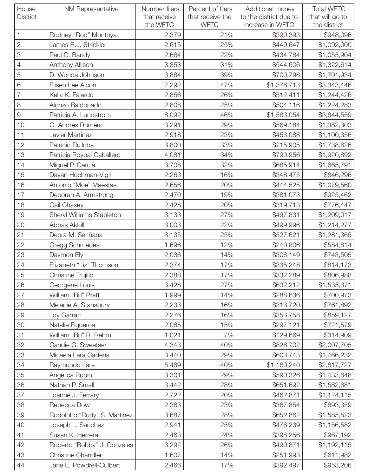| House<br><b>District</b> | <b>NM Representative</b>    | Number filers<br>that receive<br>the WFTC | Percent of filers<br>that receive the<br><b>WFTC</b> | Additional money<br>to the district due to<br>increase in WFTC | <b>Total WFTC</b><br>that will go to<br>the district |
|--------------------------|-----------------------------|-------------------------------------------|------------------------------------------------------|----------------------------------------------------------------|------------------------------------------------------|
| $\mathbf{1}$             | Rodney "Rod" Montoya        | 2,379                                     | 21%                                                  | \$390,393                                                      | \$948,096                                            |
| $\sqrt{2}$               | James R.J. Strickler        | 2,615                                     | 25%                                                  | \$449,647                                                      | \$1,092,000                                          |
| 3                        | Paul C. Bandy               | 2,664                                     | 22%                                                  | \$434,784                                                      | \$1,055,904                                          |
| $\overline{4}$           | Anthony Allison             | 3,353                                     | 31%                                                  | \$544,606                                                      | \$1,322,614                                          |
| 5                        | D. Wonda Johnson            | 3,884                                     | 39%                                                  | \$700,796                                                      | \$1,701,934                                          |
| 6                        | Eliseo Lee Alcon            | 7,292                                     | 47%                                                  | \$1,376,713                                                    | \$3,343,446                                          |
| $\overline{7}$           | Kelly K. Fajardo            | 2,856                                     | 26%                                                  | \$512,411                                                      | \$1,244,426                                          |
| 8                        | Alonzo Baldonado            | 2,808                                     | 25%                                                  | \$504,116                                                      | \$1,224,283                                          |
| $\Theta$                 | Patricia A. Lundstrom       | 8,092                                     | 46%                                                  | \$1,583,054                                                    | \$3,844,559                                          |
| 10                       | G. Andres Romero            | 3,291                                     | 29%                                                  | \$569,184                                                      | \$1,382,303                                          |
| 11                       | Javier Martinez             | 2,918                                     | 23%                                                  | \$453,088                                                      | \$1,100,356                                          |
| 12                       | Patricio Ruiloba            | 3,800                                     | 33%                                                  | \$715,905                                                      | \$1,738,626                                          |
| 13                       | Patricia Roybal Caballero   | 4,081                                     | 34%                                                  | \$790,956                                                      | \$1,920,892                                          |
| 14                       | Miguel P. Garcia            | 3,708                                     | 32%                                                  | \$685,914                                                      | \$1,665,791                                          |
| 15                       | Dayan Hochman-Vigil         | 2,263                                     | 16%                                                  | \$348,475                                                      | \$846,296                                            |
| 16                       | Antonio "Moe" Maestas       | 2,656                                     | 20%                                                  | \$444,525                                                      | \$1,079,560                                          |
| 17                       | Deborah A. Armstrong        | 2,470                                     | 19%                                                  | \$381,073                                                      | \$925,462                                            |
| 18                       | Gail Chasey                 | 2,428                                     | 20%                                                  | \$319,713                                                      | \$776,447                                            |
| 19                       | Sheryl Williams Stapleton   | 3,133                                     | 27%                                                  | \$497,831                                                      | \$1,209,017                                          |
| 20                       | Abbas Akhill                | 3,003                                     | 22%                                                  | \$499,996                                                      | \$1,214,277                                          |
| 21                       | Debra M. Sariñana           | 3,135                                     | 25%                                                  | \$527,621                                                      | \$1,281,365                                          |
| 22                       | Gregg Schmedes              | 1,696                                     | 12%                                                  | \$240,806                                                      | \$584,814                                            |
| 23                       | Daymon Ely                  | 2,036                                     | 14%                                                  | \$306,149                                                      | \$743,505                                            |
| 24                       | Elizabeth "Liz" Thomson     | 2,374                                     | 17%                                                  | \$335,248                                                      | \$814,173                                            |
| 25                       | Christine Trujillo          | 2,388                                     | 17%                                                  | \$332,289                                                      | \$806,988                                            |
| 26                       | Georgene Louis              | 3,428                                     | 27%                                                  | \$632,212                                                      | \$1,535,371                                          |
| 27                       | William "Bill" Pratt        | 1,999                                     | 14%                                                  | \$288,636                                                      | \$700,973                                            |
| 28                       | Melanie A. Stansbury        | 2,233                                     | 16%                                                  | \$313,720                                                      | \$761,892                                            |
| 29                       | Joy Garratt                 | 2,276                                     | 16%                                                  | \$353,758                                                      | \$859,127                                            |
| 30                       | Natalie Figueroa            | 2,085                                     | 15%                                                  | \$297,121                                                      | \$721,579                                            |
| 31                       | William "Bill" R. Rehm      | 1,021                                     | 7%                                                   | \$129,669                                                      | \$314,909                                            |
| 32                       | Candie G. Sweetser          | 4,343                                     | 40%                                                  | \$826,702                                                      | \$2,007,705                                          |
| 33                       | Micaela Lara Cadena         | 3,440                                     | 29%                                                  | \$603,743                                                      | \$1,466,232                                          |
| 34                       | Raymundo Lara               | 5,489                                     | 40%                                                  | \$1,160,240                                                    | \$2,817,727                                          |
| 35                       | Angelica Rubio              | 3,301                                     | 29%                                                  | \$590,326                                                      | \$1,433,648                                          |
| 36                       | Nathan P. Small             | 3,442                                     | 28%                                                  | \$651,692                                                      | \$1,582,681                                          |
| 37                       | Joanne J. Ferrary           | 2,722                                     | 20%                                                  | \$462,871                                                      | \$1,124,115                                          |
| 38                       | Rebecca Dow                 | 2,363                                     | 23%                                                  | \$367,854                                                      | \$893,359                                            |
| 39                       | Rodolpho "Rudy" S. Martinez | 3,687                                     | 28%                                                  | \$652,862                                                      | \$1,585,523                                          |
| 40                       | Joseph L. Sanchez           | 2,941                                     | 25%                                                  | \$476,239                                                      | \$1,156,582                                          |
| 41                       | Susan K. Herrera            | 2,463                                     | 24%                                                  | \$398,256                                                      | \$967,192                                            |
| 42                       | Roberto "Bobby" J. Gonzales | 3,292                                     | 26%                                                  | \$490,871                                                      | \$1,192,115                                          |
| 43                       | <b>Christine Chandler</b>   | 1,607                                     | 14%                                                  | \$251,993                                                      | \$611,982                                            |
| 44                       | Jane E. Powdrell-Culbert    | 2,466                                     | 17%                                                  | \$392,497                                                      | \$953,206                                            |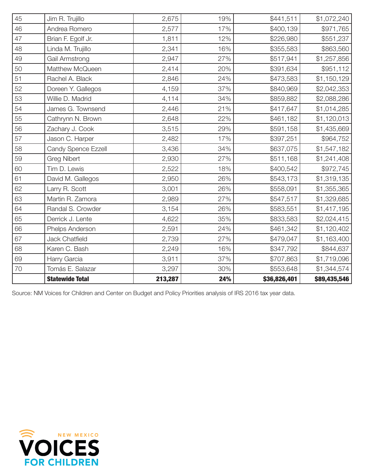| 70 | Tomás E. Salazar      | 3,297 | 30% | \$553,648 | \$1,344,574 |
|----|-----------------------|-------|-----|-----------|-------------|
| 69 | Harry Garcia          | 3,911 | 37% | \$707,863 | \$1,719,096 |
| 68 | Karen C. Bash         | 2,249 | 16% | \$347,792 | \$844,637   |
| 67 | <b>Jack Chatfield</b> | 2,739 | 27% | \$479,047 | \$1,163,400 |
| 66 | Phelps Anderson       | 2,591 | 24% | \$461,342 | \$1,120,402 |
| 65 | Derrick J. Lente      | 4,622 | 35% | \$833,583 | \$2,024,415 |
| 64 | Randal S. Crowder     | 3,154 | 26% | \$583,551 | \$1,417,195 |
| 63 | Martin R. Zamora      | 2,989 | 27% | \$547,517 | \$1,329,685 |
| 62 | Larry R. Scott        | 3,001 | 26% | \$558,091 | \$1,355,365 |
| 61 | David M. Gallegos     | 2,950 | 26% | \$543,173 | \$1,319,135 |
| 60 | Tim D. Lewis          | 2,522 | 18% | \$400,542 | \$972,745   |
| 59 | <b>Greg Nibert</b>    | 2,930 | 27% | \$511,168 | \$1,241,408 |
| 58 | Candy Spence Ezzell   | 3,436 | 34% | \$637,075 | \$1,547,182 |
| 57 | Jason C. Harper       | 2,482 | 17% | \$397,251 | \$964,752   |
| 56 | Zachary J. Cook       | 3,515 | 29% | \$591,158 | \$1,435,669 |
| 55 | Cathrynn N. Brown     | 2,648 | 22% | \$461,182 | \$1,120,013 |
| 54 | James G. Townsend     | 2,446 | 21% | \$417,647 | \$1,014,285 |
| 53 | Willie D. Madrid      | 4,114 | 34% | \$859,882 | \$2,088,286 |
| 52 | Doreen Y. Gallegos    | 4,159 | 37% | \$840,969 | \$2,042,353 |
| 51 | Rachel A. Black       | 2,846 | 24% | \$473,583 | \$1,150,129 |
| 50 | Matthew McQueen       | 2,414 | 20% | \$391,634 | \$951,112   |
| 49 | Gail Armstrong        | 2,947 | 27% | \$517,941 | \$1,257,856 |
| 48 | Linda M. Trujillo     | 2,341 | 16% | \$355,583 | \$863,560   |
| 47 | Brian F. Egolf Jr.    | 1,811 | 12% | \$226,980 | \$551,237   |
| 46 | Andrea Romero         | 2,577 | 17% | \$400,139 | \$971,765   |
| 45 | Jim R. Trujillo       | 2,675 | 19% | \$441,511 | \$1,072,240 |

Source: NM Voices for Children and Center on Budget and Policy Priorities analysis of IRS 2016 tax year data.